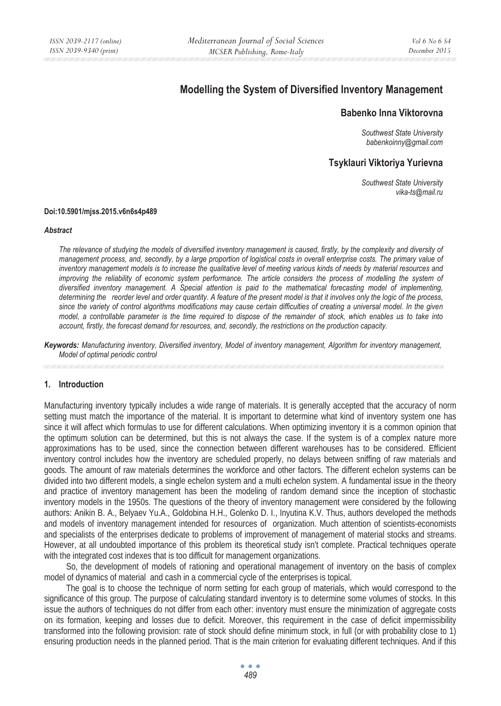# **Modelling the System of Diversified Inventory Management**

# **Babenko Inna Viktorovna**

*Southwest State University babenkoinny@gmail.com* 

# **Tsyklauri Viktoriya Yurievna**

*Southwest State University vika-ts@mail.ru* 

#### **Doi:10.5901/mjss.2015.v6n6s4p489**

#### *Abstract*

*The relevance of studying the models of diversified inventory management is caused, firstly, by the complexity and diversity of management process, and, secondly, by a large proportion of logistical costs in overall enterprise costs. The primary value of inventory management models is to increase the qualitative level of meeting various kinds of needs by material resources and improving the reliability of economic system performance. The article considers the process of modelling the system of diversified inventory management. A Special attention is paid to the mathematical forecasting model of implementing, determining the reorder level and order quantity. A feature of the present model is that it involves only the logic of the process, since the variety of control algorithms modifications may cause certain difficulties of creating a universal model. In the given model, a controllable parameter is the time required to dispose of the remainder of stock, which enables us to take into account, firstly, the forecast demand for resources, and, secondly, the restrictions on the production capacity.* 

*Keywords: Manufacturing inventory, Diversified inventory, Model of inventory management, Algorithm for inventory management, Model of optimal periodic control* 

#### **1. Introduction**

Manufacturing inventory typically includes a wide range of materials. It is generally accepted that the accuracy of norm setting must match the importance of the material. It is important to determine what kind of inventory system one has since it will affect which formulas to use for different calculations. When optimizing inventory it is a common opinion that the optimum solution can be determined, but this is not always the case. If the system is of a complex nature more approximations has to be used, since the connection between different warehouses has to be considered. Efficient inventory control includes how the inventory are scheduled properly, no delays between sniffing of raw materials and goods. The amount of raw materials determines the workforce and other factors. The different echelon systems can be divided into two different models, a single echelon system and a multi echelon system. A fundamental issue in the theory and practice of inventory management has been the modeling of random demand since the inception of stochastic inventory models in the 1950s. The questions of the theory of inventory management were considered by the following authors: Anikin B. A., Belyaev Yu.A., Goldobina H.H., Golenko D. I., Inyutina K.V. Thus, authors developed the methods and models of inventory management intended for resources of organization. Much attention of scientists-economists and specialists of the enterprises dedicate to problems of improvement of management of material stocks and streams. However, at all undoubted importance of this problem its theoretical study isn't complete. Practical techniques operate with the integrated cost indexes that is too difficult for management organizations.

So, the development of models of rationing and operational management of inventory on the basis of complex model of dynamics of material and cash in a commercial cycle of the enterprises is topical.

The goal is to choose the technique of norm setting for each group of materials, which would correspond to the significance of this group. The purpose of calculating standard inventory is to determine some volumes of stocks. In this issue the authors of techniques do not differ from each other: inventory must ensure the minimization of aggregate costs on its formation, keeping and losses due to deficit. Moreover, this requirement in the case of deficit impermissibility transformed into the following provision: rate of stock should define minimum stock, in full (or with probability close to 1) ensuring production needs in the planned period. That is the main criterion for evaluating different techniques. And if this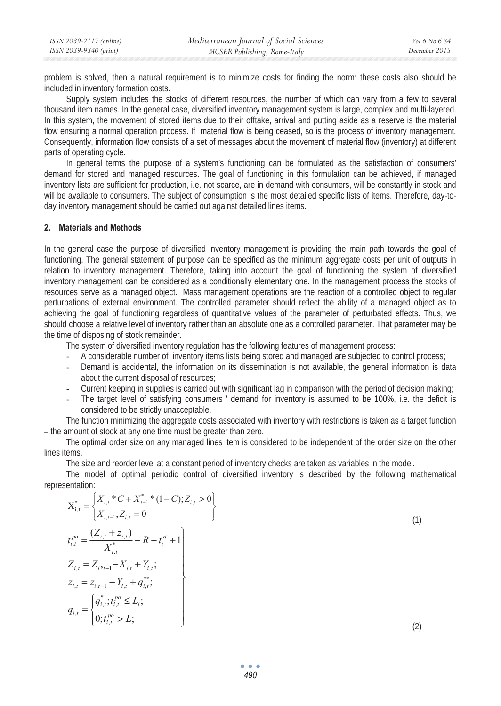problem is solved, then a natural requirement is to minimize costs for finding the norm: these costs also should be included in inventory formation costs.

Supply system includes the stocks of different resources, the number of which can vary from a few to several thousand item names. In the general case, diversified inventory management system is large, complex and multi-layered. In this system, the movement of stored items due to their offtake, arrival and putting aside as a reserve is the material flow ensuring a normal operation process. If material flow is being ceased, so is the process of inventory management. Consequently, information flow consists of a set of messages about the movement of material flow (inventory) at different parts of operating cycle.

In general terms the purpose of a system's functioning can be formulated as the satisfaction of consumers' demand for stored and managed resources. The goal of functioning in this formulation can be achieved, if managed inventory lists are sufficient for production, i.e. not scarce, are in demand with consumers, will be constantly in stock and will be available to consumers. The subject of consumption is the most detailed specific lists of items. Therefore, day-today inventory management should be carried out against detailed lines items.

### **2. Materials and Methods**

In the general case the purpose of diversified inventory management is providing the main path towards the goal of functioning. The general statement of purpose can be specified as the minimum aggregate costs per unit of outputs in relation to inventory management. Therefore, taking into account the goal of functioning the system of diversified inventory management can be considered as a conditionally elementary one. In the management process the stocks of resources serve as a managed object. Mass management operations are the reaction of a controlled object to regular perturbations of external environment. The controlled parameter should reflect the ability of a managed object as to achieving the goal of functioning regardless of quantitative values of the parameter of perturbated effects. Thus, we should choose a relative level of inventory rather than an absolute one as a controlled parameter. That parameter may be the time of disposing of stock remainder.

The system of diversified inventory regulation has the following features of management process:

- A considerable number of inventory items lists being stored and managed are subjected to control process;
- Demand is accidental, the information on its dissemination is not available, the general information is data about the current disposal of resources;
- Current keeping in supplies is carried out with significant lag in comparison with the period of decision making;
- The target level of satisfying consumers ' demand for inventory is assumed to be 100%, i.e. the deficit is considered to be strictly unacceptable.

The function minimizing the aggregate costs associated with inventory with restrictions is taken as a target function – the amount of stock at any one time must be greater than zero.

The optimal order size on any managed lines item is considered to be independent of the order size on the other lines items.

The size and reorder level at a constant period of inventory checks are taken as variables in the model.

The model of optimal periodic control of diversified inventory is described by the following mathematical representation:

$$
X_{i,t}^{*} = \begin{cases} X_{i,t}^{*} C + X_{t-1}^{*} * (1 - C); Z_{i,t} > 0 \\ X_{i,t-1}^{*} ; Z_{i,t} = 0 \end{cases}
$$
\n
$$
t_{i,t}^{po} = \frac{(Z_{i,t} + Z_{i,t})}{X_{i,t}^{*}} - R - t_{i}^{st} + 1
$$
\n
$$
Z_{i,t} = Z_{i \cdot t-1} - X_{i,t} + Y_{i,t};
$$
\n
$$
z_{i,t} = z_{i,t-1} - Y_{i,t} + q_{i,t}^{*};
$$
\n
$$
q_{i,t} = \begin{cases} q_{i,t}^{*} ; t_{i,t}^{po} \le L_{i}; \\ 0; t_{i,t}^{po} > L; \end{cases}
$$
\n(2)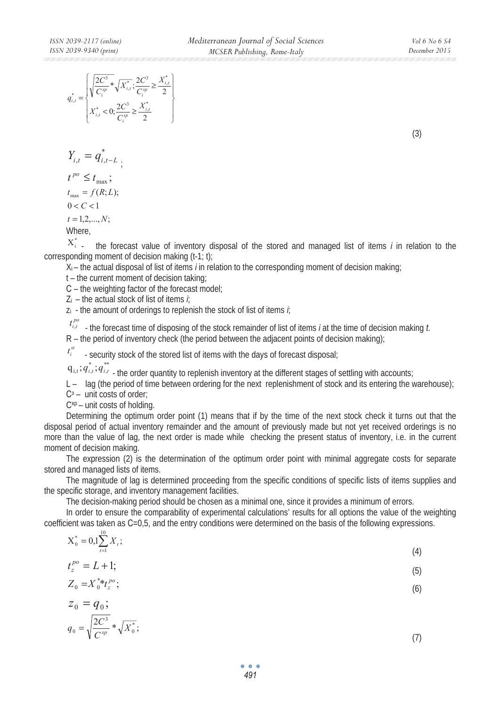|  | $\frac{ 2C^3}{C_i^{xp}} * \sqrt{X_{i,t}^*}; \frac{2C^3}{C^{xp}}$ |  |
|--|------------------------------------------------------------------|--|
|  |                                                                  |  |

;

$$
Y_{i,t} = q_{i,t-L}^*
$$

$$
t^{po} \le t_{\text{max}};
$$
  

$$
t_{\text{max}} = f(R;L);
$$

$$
0 < C < 1
$$

$$
t=1,2,\ldots,N;
$$

Where,

 $X_i^*$   $\ldots$  the forecast value of inventory disposal of the stored and managed list of items *i* in relation to the corresponding moment of decision making (t-1; t);

Xi – the actual disposal of list of items *i* in relation to the corresponding moment of decision making;

t – the current moment of decision taking;

 $C$  – the weighting factor of the forecast model;

Zi – the actual stock of list of items *i*;

zi - the amount of orderings to replenish the stock of list of items *i*;

 $t_{i,i}^{po}$  - the forecast time of disposing of the stock remainder of list of items *i* at the time of decision making *t*.  $R$  – the period of inventory check (the period between the adiacent points of decision making):

 - security stock of the stored list of items with the days of forecast disposal; *st i t*

 $q_{i,t}$ ;  $q_{i,t}^{*}$   $\ldots$  the order quantity to replenish inventory at the different stages of settling with accounts;

L – lag (the period of time between ordering for the next replenishment of stock and its entering the warehouse);

 $C^3$  – unit costs of order;

 $C^{xp}$  – unit costs of holding.

Determining the optimum order point (1) means that if by the time of the next stock check it turns out that the disposal period of actual inventory remainder and the amount of previously made but not yet received orderings is no more than the value of lag, the next order is made while checking the present status of inventory, i.e. in the current moment of decision making.

The expression (2) is the determination of the optimum order point with minimal aggregate costs for separate stored and managed lists of items.

The magnitude of lag is determined proceeding from the specific conditions of specific lists of items supplies and the specific storage, and inventory management facilities.

The decision-making period should be chosen as a minimal one, since it provides a minimum of errors.

In order to ensure the comparability of experimental calculations' results for all options the value of the weighting coefficient was taken as C=0,5, and the entry conditions were determined on the basis of the following expressions.

| $X_0^* = 0,1 \sum_{i=1}^{10} X_i;$                 |     |
|----------------------------------------------------|-----|
| $t=1$                                              | (4) |
| $t_{z}^{po} = L + 1;$                              | (5) |
| $Z_0 = X_0^* t_z^{p_0};$                           | (6) |
| $z_0 = q_0;$                                       |     |
| $q_0 = \sqrt{\frac{2C^3}{C^{xp}}} * \sqrt{X_0^*};$ |     |

(3)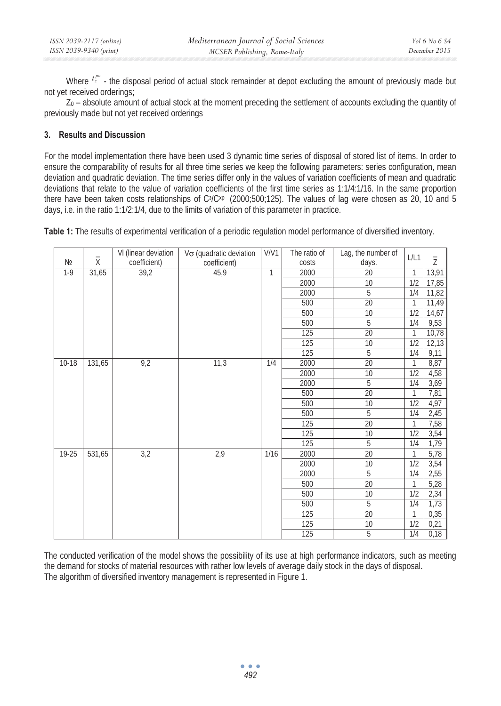| ISSN 2039-2117 (online) | Mediterranean Journal of Social Sciences | $Vol 6$ No $6$ S4 |
|-------------------------|------------------------------------------|-------------------|
| ISSN 2039-9340 (print)  | MCSER Publishing, Rome-Italy             | December 2015     |

Where  $t^{\rho o}_z$   $\cdot$  the disposal period of actual stock remainder at depot excluding the amount of previously made but not yet received orderings;

Z0 – absolute amount of actual stock at the moment preceding the settlement of accounts excluding the quantity of previously made but not yet received orderings

# **3. Results and Discussion**

For the model implementation there have been used 3 dynamic time series of disposal of stored list of items. In order to ensure the comparability of results for all three time series we keep the following parameters: series configuration, mean deviation and quadratic deviation. The time series differ only in the values of variation coefficients of mean and quadratic deviations that relate to the value of variation coefficients of the first time series as 1:1/4:1/16. In the same proportion there have been taken costs relationships of C<sup>3</sup>/C<sup>xp</sup> (2000;500;125). The values of lag were chosen as 20, 10 and 5 days, i.e. in the ratio 1:1/2:1/4, due to the limits of variation of this parameter in practice.

**Table 1:** The results of experimental verification of a periodic regulation model performance of diversified inventory.

|           | -<br>X | VI (linear deviation | $V\sigma$ (quadratic deviation | V/V1         | The ratio of | Lag, the number of | L/L1         | $\bar{z}$ |
|-----------|--------|----------------------|--------------------------------|--------------|--------------|--------------------|--------------|-----------|
| Nº        |        | coefficient)         | coefficient)                   |              | costs        | days.              |              |           |
| $1 - 9$   | 31,65  | 39,2                 | 45,9                           | $\mathbf{1}$ | 2000         | $\overline{20}$    | $\mathbf{1}$ | 13,91     |
|           |        |                      |                                |              | 2000         | $10$               | 1/2          | 17,85     |
|           |        |                      |                                |              | 2000         | 5                  | 1/4          | 11,82     |
|           |        |                      |                                |              | 500          | $\overline{20}$    | $\mathbf{1}$ | 11,49     |
|           |        |                      |                                |              | 500          | 10                 | 1/2          | 14,67     |
|           |        |                      |                                |              | 500          | 5                  | 1/4          | 9,53      |
|           |        |                      |                                |              | 125          | $\overline{20}$    | $\mathbf{1}$ | 10,78     |
|           |        |                      |                                |              | 125          | 10                 | 1/2          | 12,13     |
|           |        |                      |                                |              | 125          | 5                  | 1/4          | 9,11      |
| $10 - 18$ | 131,65 | 9,2                  | 11,3                           | 1/4          | 2000         | $\overline{20}$    | $\mathbf{1}$ | 8,87      |
|           |        |                      |                                |              | 2000         | 10                 | 1/2          | 4,58      |
|           |        |                      |                                |              | 2000         | 5                  | 1/4          | 3,69      |
|           |        |                      |                                |              | 500          | 20                 | $\mathbf{1}$ | 7,81      |
|           |        |                      |                                |              | 500          | 10                 | 1/2          | 4,97      |
|           |        |                      |                                |              | 500          | 5                  | 1/4          | 2,45      |
|           |        |                      |                                |              | 125          | $\overline{20}$    | 1            | 7,58      |
|           |        |                      |                                |              | 125          | $\overline{10}$    | 1/2          | 3,54      |
|           |        |                      |                                |              | 125          | 5                  | 1/4          | 1,79      |
| 19-25     | 531,65 | 3,2                  | 2,9                            | 1/16         | 2000         | $\overline{20}$    | $\mathbf{1}$ | 5,78      |
|           |        |                      |                                |              | 2000         | 10                 | 1/2          | 3,54      |
|           |        |                      |                                |              | 2000         | 5                  | 1/4          | 2,55      |
|           |        |                      |                                |              | 500          | 20                 | $\mathbf{1}$ | 5,28      |
|           |        |                      |                                |              | 500          | 10                 | 1/2          | 2,34      |
|           |        |                      |                                |              | 500          | 5                  | 1/4          | 1,73      |
|           |        |                      |                                |              | 125          | 20                 | 1            | 0,35      |
|           |        |                      |                                |              | 125          | 10                 | 1/2          | 0,21      |
|           |        |                      |                                |              | 125          | 5                  | 1/4          | 0,18      |

The conducted verification of the model shows the possibility of its use at high performance indicators, such as meeting the demand for stocks of material resources with rather low levels of average daily stock in the days of disposal. The algorithm of diversified inventory management is represented in Figure 1.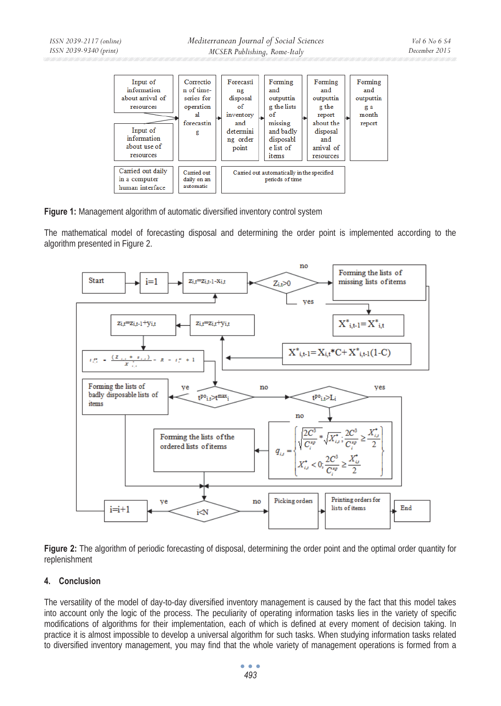

**Figure 1:** Management algorithm of automatic diversified inventory control system

The mathematical model of forecasting disposal and determining the order point is implemented according to the algorithm presented in Figure 2.



**Figure 2:** The algorithm of periodic forecasting of disposal, determining the order point and the optimal order quantity for replenishment

## **4. Conclusion**

The versatility of the model of day-to-day diversified inventory management is caused by the fact that this model takes into account only the logic of the process. The peculiarity of operating information tasks lies in the variety of specific modifications of algorithms for their implementation, each of which is defined at every moment of decision taking. In practice it is almost impossible to develop a universal algorithm for such tasks. When studying information tasks related to diversified inventory management, you may find that the whole variety of management operations is formed from a